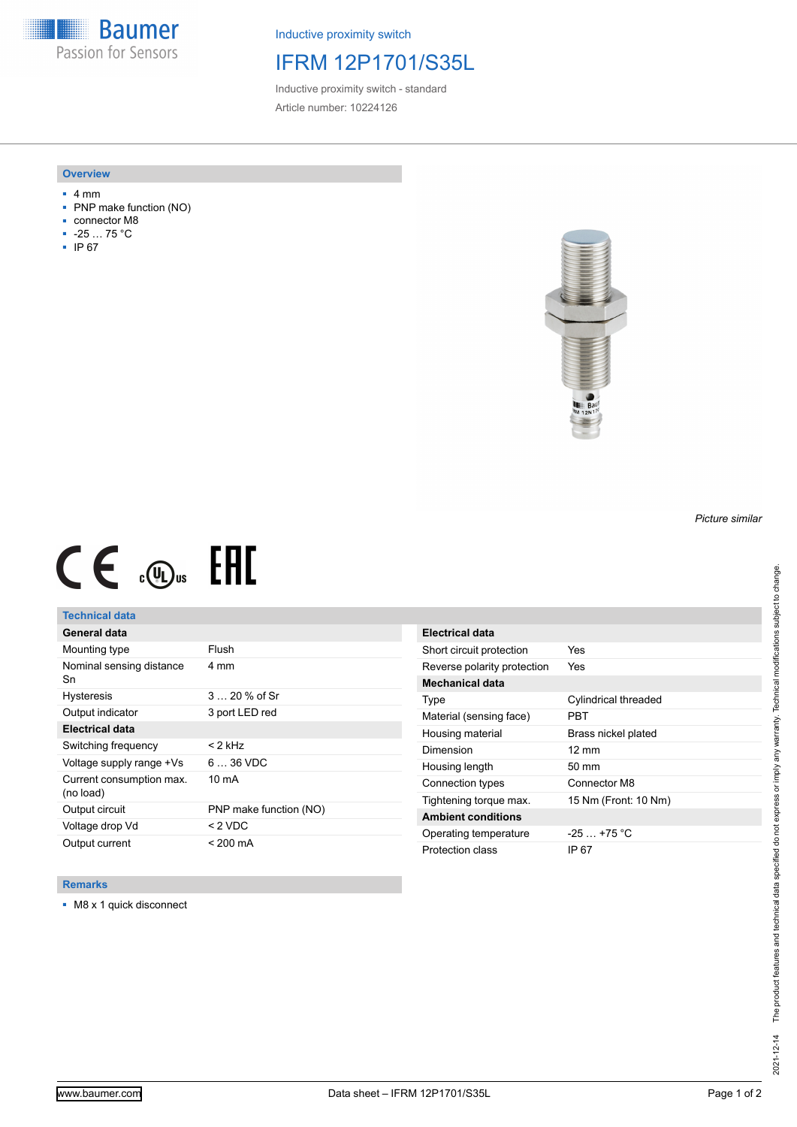**Baumer** Passion for Sensors

Inductive proximity switch

## IFRM 12P1701/S35L

Inductive proximity switch - standard Article number: 10224126

#### **Overview**

- 4 mm
- PNP make function (NO)
- connector M8
- -25 … 75 °C
- IP 67



# $CE \mathcal{L}$  (Dus FRE

## **Technical data**

| General data                          |                        |
|---------------------------------------|------------------------|
| Mounting type                         | Flush                  |
| Nominal sensing distance<br>Sn        | 4 mm                   |
| <b>Hysteresis</b>                     | $320%$ of Sr           |
| Output indicator                      | 3 port LED red         |
| <b>Electrical data</b>                |                        |
| Switching frequency                   | < 2 kHz                |
| Voltage supply range +Vs              | $636$ VDC              |
| Current consumption max.<br>(no load) | 10 mA                  |
| Output circuit                        | PNP make function (NO) |
| Voltage drop Vd                       | < 2 VDC                |
| Output current                        | $< 200 \text{ mA}$     |

| Electrical data             |                      |
|-----------------------------|----------------------|
| Short circuit protection    | Yes                  |
| Reverse polarity protection | Yes                  |
| Mechanical data             |                      |
| Type                        | Cylindrical threaded |
| Material (sensing face)     | PRT                  |
| Housing material            | Brass nickel plated  |
| Dimension                   | $12 \text{ mm}$      |
| Housing length              | $50 \text{ mm}$      |
| Connection types            | Connector M8         |
| Tightening torque max.      | 15 Nm (Front: 10 Nm) |
| <b>Ambient conditions</b>   |                      |
| Operating temperature       | $-25$ +75 °C         |
| Protection class            | IP 67                |

### **Remarks**

■ M8 x 1 quick disconnect

*Picture similar*